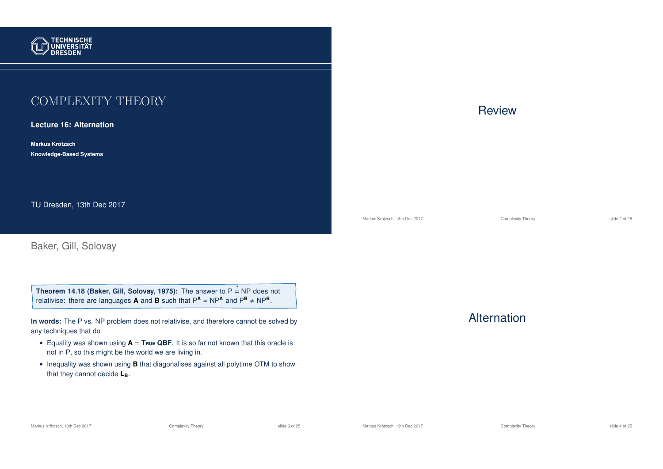

# COMPLEXITY THEORY

**Lecture 16: Alternation**

**Markus Krotzsch ¨ Knowledge-Based Systems**

TU Dresden, 13th Dec 2017

Baker, Gill, Solovay

**Theorem 14.18 (Baker, Gill, Solovay, 1975):** The answer to P  $\stackrel{?}{=}$  NP does not relativise: there are languages **A** and **B** such that  $P^{\text{A}} = NP^{\text{A}}$  and  $P^{\text{B}} \neq NP^{\text{B}}$ .

**In words:** The P vs. NP problem does not relativise, and therefore cannot be solved by any techniques that do.

- Equality was shown using  $A = True$  QBF. It is so far not known that this oracle is not in P, so this might be the world we are living in.
- Inequality was shown using **B** that diagonalises against all polytime OTM to show that they cannot decide **LB**.



Markus Krötzsch, 13th Dec 2017 **Complexity Theory** Complexity Theory slide 2 of 25

## **Alternation**

Markus Krötzsch, 13th Dec 2017 **Complexity Theory** Complexity Theory slide 3 of 25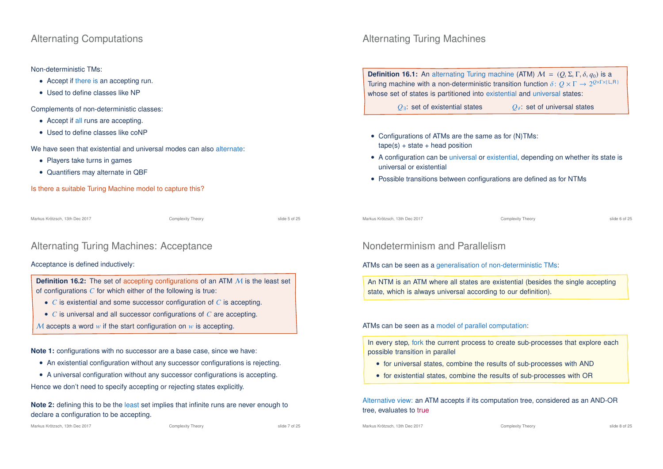## Alternating Computations

### Non-deterministic TMs:

- Accept if there is an accepting run.
- Used to define classes like NP

Complements of non-deterministic classes:

- Accept if all runs are accepting.
- Used to define classes like coNP

We have seen that existential and universal modes can also alternate:

- Players take turns in games
- Quantifiers may alternate in QBF

Is there a suitable Turing Machine model to capture this?

Markus Krötzsch, 13th Dec 2017 **Complexity Theory** Complexity Theory slide 5 of 25

## Alternating Turing Machines: Acceptance

### Acceptance is defined inductively:

**Definition 16.2:** The set of accepting configurations of an ATM M is the least set of configurations *C* for which either of the following is true:

- *C* is existential and some successor configuration of *C* is accepting.
- *C* is universal and all successor configurations of *C* are accepting.
- M accepts a word *w* if the start configuration on *w* is accepting.

**Note 1:** configurations with no successor are a base case, since we have:

- An existential configuration without any successor configurations is rejecting.
- A universal configuration without any successor configurations is accepting.

Hence we don't need to specify accepting or rejecting states explicitly.

**Note 2:** defining this to be the least set implies that infinite runs are never enough to declare a configuration to be accepting.

# Alternating Turing Machines

**Definition 16.1:** An alternating Turing machine (ATM)  $M = (O, \Sigma, \Gamma, \delta, q_0)$  is a Turing machine with a non-deterministic transition function  $\delta \colon Q \times \Gamma \to 2^{Q \times \Gamma \times (L,R)}$ whose set of states is partitioned into existential and universal states:

*Q*∃: set of existential states *Q*∀: set of universal states

- Configurations of ATMs are the same as for (N)TMs:  $tape(s) + state + head position$
- A configuration can be universal or existential, depending on whether its state is universal or existential
- Possible transitions between configurations are defined as for NTMs

Markus Krötzsch, 13th Dec 2017 **Complexity Theory** Complexity Theory **Complexity Theory** slide 6 of 25

## Nondeterminism and Parallelism

ATMs can be seen as a generalisation of non-deterministic TMs:

An NTM is an ATM where all states are existential (besides the single accepting state, which is always universal according to our definition).

ATMs can be seen as a model of parallel computation:

In every step, fork the current process to create sub-processes that explore each possible transition in parallel

- for universal states, combine the results of sub-processes with AND
- for existential states, combine the results of sub-processes with OR

Alternative view: an ATM accepts if its computation tree, considered as an AND-OR tree, evaluates to true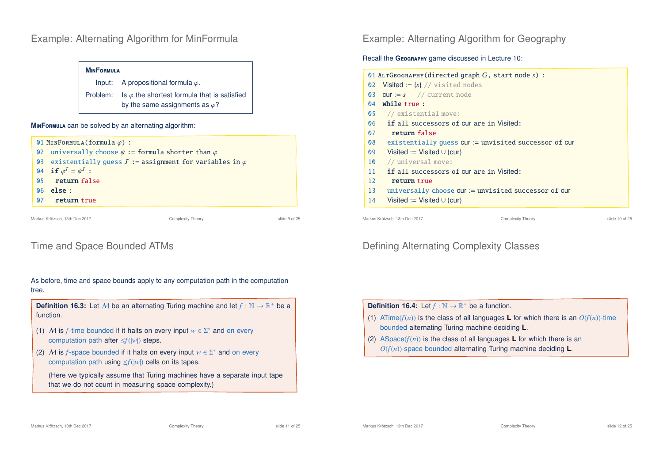## Example: Alternating Algorithm for MinFormula

| <b>MINFORMULA</b> |                                                                                                        |  |  |
|-------------------|--------------------------------------------------------------------------------------------------------|--|--|
|                   | Input: A propositional formula $\varphi$ .                                                             |  |  |
|                   | Problem: Is $\varphi$ the shortest formula that is satisfied<br>by the same assignments as $\varphi$ ? |  |  |

#### **M**in**F**ormula can be solved by an alternating algorithm:



## Time and Space Bounded ATMs

As before, time and space bounds apply to any computation path in the computation tree.

**Definition 16.3:** Let M be an alternating Turing machine and let  $f : \mathbb{N} \to \mathbb{R}^+$  be a function.

- (1) M is *f*-time bounded if it halts on every input  $w \in \Sigma^*$  and on every computation path after ≤*f*(|*w*|) steps.
- (2) M is *f*-space bounded if it halts on every input  $w \in \Sigma^*$  and on every computation path using ≤*f*(|*w*|) cells on its tapes.

(Here we typically assume that Turing machines have a separate input tape that we do not count in measuring space complexity.)

Example: Alternating Algorithm for Geography

### Recall the **GEOGRAPHY** game discussed in Lecture 10:

| 01 ALTGEOGRAPHY (directed graph $G$ , start node $s$ ) : |                                                                              |  |  |  |
|----------------------------------------------------------|------------------------------------------------------------------------------|--|--|--|
|                                                          | 02 Visited := ${s}$ // visited nodes                                         |  |  |  |
|                                                          | 03 $cur := s$ // current node                                                |  |  |  |
| $\mathsf{N}4$                                            | while true:                                                                  |  |  |  |
|                                                          | 05 // existential move:                                                      |  |  |  |
| 06                                                       | <b>if</b> all successors of cur are in Visited:                              |  |  |  |
| 07                                                       | return false                                                                 |  |  |  |
| 08                                                       | existentially quess $cur :=$ unvisited successor of cur                      |  |  |  |
| 09 <sup>°</sup>                                          | Visited := Visited $\cup$ {cur}                                              |  |  |  |
| 10 <sup>°</sup>                                          | // universal move:                                                           |  |  |  |
| 11                                                       | <b>if</b> all successors of cur are in Visited:                              |  |  |  |
| 12.                                                      | return true                                                                  |  |  |  |
| 13                                                       | universally choose cur: = unvisited successor of cur                         |  |  |  |
| 14                                                       | Visited := Visited $\cup$ {cur}                                              |  |  |  |
|                                                          |                                                                              |  |  |  |
|                                                          | Markus Krötzsch, 13th Dec 2017<br><b>Complexity Theory</b><br>slide 10 of 25 |  |  |  |

# Defining Alternating Complexity Classes

## **Definition 16.4:** Let  $f : \mathbb{N} \to \mathbb{R}^+$  be a function.

- (1) ATime( $f(n)$ ) is the class of all languages **L** for which there is an  $O(f(n))$ -time bounded alternating Turing machine deciding **L**.
- (2) ASpace( $f(n)$ ) is the class of all languages **L** for which there is an *O*(*f*(*n*))-space bounded alternating Turing machine deciding **L**.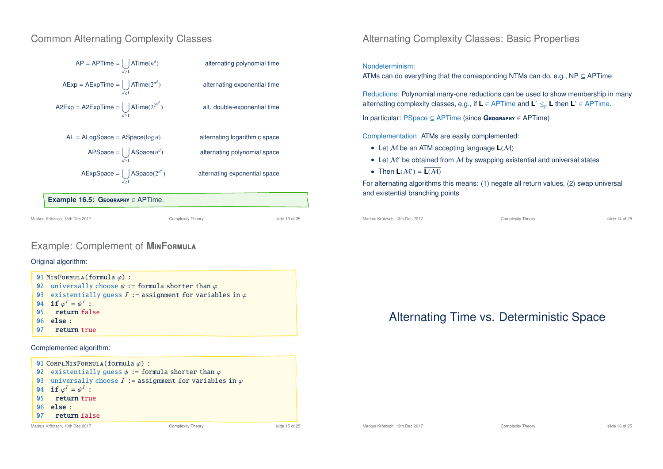## Common Alternating Complexity Classes



Markus Krötzsch, 13th Dec 2017 Complexity Theory slide 13 of 25

## Example: Complement of **M**in**F**ormula

### Original algorithm:





## Alternating Complexity Classes: Basic Properties

#### Nondeterminism:

ATMs can do everything that the corresponding NTMs can do, e.g., NP  $\subseteq$  APTime

Reductions: Polynomial many-one reductions can be used to show membership in many alternating complexity classes, e.g., if **L** ∈ APTime and **L** <sup>0</sup> ≤*<sup>p</sup>* **L** then **L** <sup>0</sup> ∈ APTime.

In particular: PSpace ⊆ APTime (since **G**eography ∈ APTime)

Complementation: ATMs are easily complemented:

- Let M be an ATM accepting language **L**(M)
- Let  $M'$  be obtained from  $M$  by swapping existential and universal states
- Then  $L(\mathcal{M}') = L(\mathcal{M})$

For alternating algorithms this means: (1) negate all return values, (2) swap universal and existential branching points

Markus Krötzsch, 13th Dec 2017 Complexity Theory slide 14 of 25

# Alternating Time vs. Deterministic Space

Markus Krötzsch, 13th Dec 2017 **Complexity Theory** Complexity Theory slide 16 of 25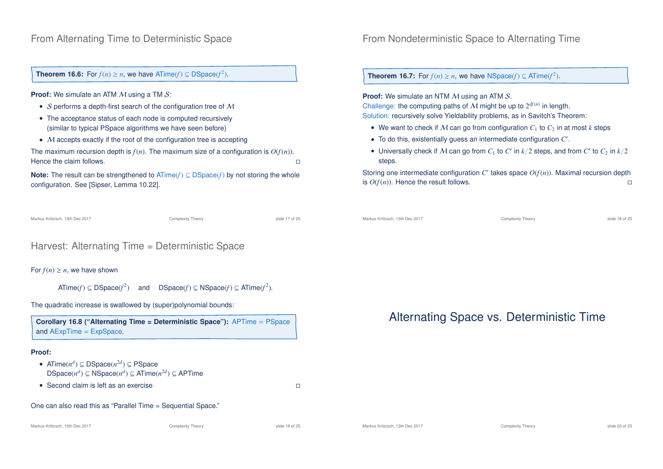## From Alternating Time to Deterministic Space

**Theorem 16.6:** For  $f(n) \ge n$ , we have ATime( $f$ )  $\subseteq$  DSpace( $f^2$ ).

**Proof:** We simulate an ATM M using a TM S:

- $S$  performs a depth-first search of the configuration tree of  $M$
- The acceptance status of each node is computed recursively (similar to typical PSpace algorithms we have seen before)
- M accepts exactly if the root of the configuration tree is accepting

The maximum recursion depth is  $f(n)$ . The maximum size of a configuration is  $O(f(n))$ . Hence the claim follows.  $\Box$ 

**Note:** The result can be strengthened to ATime(*f*) ⊆ DSpace(*f*) by not storing the whole configuration. See [Sipser, Lemma 10.22].

```
Markus Krötzsch, 13th Dec 2017 Complexity Theory slide 17 of 25
```
# Harvest: Alternating Time = Deterministic Space

### For  $f(n) > n$ , we have shown

 $\textsf{ATime}(f) \subseteq \textsf{DSpace}(f^2)$ ) and DSpace(*f*) ⊆ NSpace(*f*) ⊆ ATime(*f*<sup>2</sup>).

The quadratic increase is swallowed by (super)polynomial bounds:

**Corollary 16.8 ("Alternating Time = Deterministic Space"):** APTime = PSpace and AExpTime = ExpSpace.

### **Proof:**

- ATime $(n^d) \subseteq DSpace(n^{2d}) \subseteq PSpace$  $DSpace(n^d) ⊆ NSpace(n^d) ⊆ ATime(n^{2d}) ⊆ APTime$
- Second claim is left as an exercise **the second claim** is left as an exercise

One can also read this as "Parallel Time = Sequential Space."

#### Markus Krötzsch, 13th Dec 2017 **Complexity Theory** Complexity Theory slide 19 of 25

## From Nondeterministic Space to Alternating Time

**Theorem 16.7:** For  $f(n) \ge n$ , we have NSpace( $f$ )  $\subseteq$  ATime( $f^2$ ).

**Proof:** We simulate an NTM M using an ATM S. Challenge: the computing paths of  $M$  might be up to  $2^{df(n)}$  in length. Solution: recursively solve Yieldability problems, as in Savitch's Theorem:

- We want to check if M can go from configuration  $C_1$  to  $C_2$  in at most k steps
- To do this, existentially guess an intermediate configuration *C* 0 .
- Universally check if  $M$  can go from  $C_1$  to  $C'$  in  $k/2$  steps, and from  $C'$  to  $C_2$  in  $k/2$ steps.

Storing one intermediate configuration  $C'$  takes space  $O(f(n))$ . Maximal recursion depth is  $O(f(n))$ . Hence the result follows.

```
Markus Krötzsch, 13th Dec 2017 Complexity Theory slide 18 of 25
```
# Alternating Space vs. Deterministic Time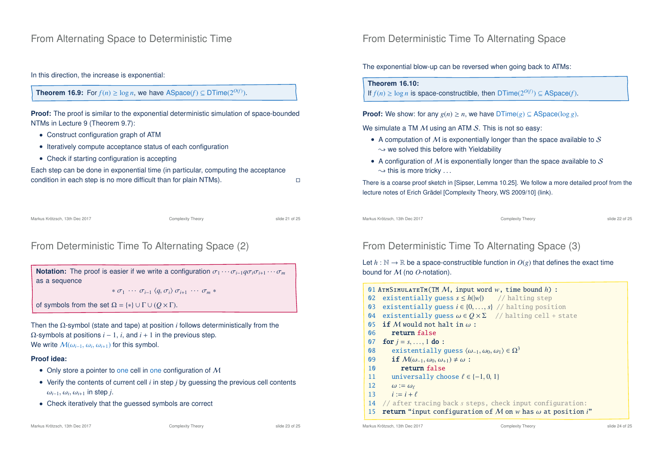In this direction, the increase is exponential:

## **Theorem 16.9:** For  $f(n) \ge \log n$ , we have  $\text{ASpace}(f) \subseteq \text{DTime}(2^{O(f)})$ .

**Proof:** The proof is similar to the exponential deterministic simulation of space-bounded NTMs in Lecture 9 (Theorem 9.7):

- Construct configuration graph of ATM
- Iteratively compute acceptance status of each configuration
- Check if starting configuration is accepting

Each step can be done in exponential time (in particular, computing the acceptance condition in each step is no more difficult than for plain NTMs).

Markus Krötzsch, 13th Dec 2017 Complexity Theory slide 21 of 25

## From Deterministic Time To Alternating Space (2)

**Notation:** The proof is easier if we write a configuration  $\sigma_1 \cdots \sigma_{i-1} q \sigma_i \sigma_{i+1} \cdots \sigma_m$ as a sequence

 $* \sigma_1 \cdots \sigma_{i-1} \langle a, \sigma_i \rangle \sigma_{i+1} \cdots \sigma_m *$ 

of symbols from the set  $\Omega = \{*\} \cup \Gamma \cup (O \times \Gamma)$ .

Then the Ω-symbol (state and tape) at position *i* follows deterministically from the  $Ω$ -symbols at positions  $i - 1$ ,  $i$ , and  $i + 1$  in the previous step. We write  $\mathcal{M}(\omega_{i-1}, \omega_i, \omega_{i+1})$  for this symbol.

### **Proof idea:**

- Only store a pointer to one cell in one configuration of  $M$
- Verify the contents of current cell *i* in step *j* by guessing the previous cell contents  $ω_{i-1}$ ,  $ω_i$ ,  $ω_{i+1}$  in step *j*.
- Check iteratively that the guessed symbols are correct

## From Deterministic Time To Alternating Space

The exponential blow-up can be reversed when going back to ATMs:

### **Theorem 16.10:**

If  $f(n) \ge \log n$  is space-constructible, then  $DTime(2^{O(f)}) \subseteq \text{ASpace}(f)$ .

**Proof:** We show: for any  $g(n) \ge n$ , we have  $DTime(g) \subseteq ASpace(log g)$ .

We simulate a TM  $M$  using an ATM  $S$ . This is not so easy:

- A computation of  $M$  is exponentially longer than the space available to  $S$  $\rightarrow$  we solved this before with Yieldability
- A configuration of  $M$  is exponentially longer than the space available to  $S$  $\rightarrow$  this is more tricky ...

There is a coarse proof sketch in [Sipser, Lemma 10.25]. We follow a more detailed proof from the lecture notes of Erich Grädel [Complexity Theory, WS 2009/10] (link).

Markus Krötzsch, 13th Dec 2017 Complexity Theory slide 22 of 25

# From Deterministic Time To Alternating Space (3)

### Let  $h : \mathbb{N} \to \mathbb{R}$  be a space-constructible function in  $O(g)$  that defines the exact time bound for M (no *O*-notation).

|                | 01 ATMSIMULATETM (TM $M$ , input word $w$ , time bound $h$ ) :                     |                |  |
|----------------|------------------------------------------------------------------------------------|----------------|--|
| 02             | existentially guess $s \leq h( w )$ // halting step                                |                |  |
| Q <sub>3</sub> | existentially guess $i \in \{0, , s\}$ // halting position                         |                |  |
| 04             | existentially quess $\omega \in O \times \Sigma$ // halting cell + state           |                |  |
| 05             | <b>if</b> M would not halt in $\omega$ :                                           |                |  |
| 06             | return false                                                                       |                |  |
| 07             | <b>for</b> $j = s, , 1$ <b>do</b> :                                                |                |  |
| 08             | existentially guess $\langle \omega_{-1}, \omega_0, \omega_1 \rangle \in \Omega^3$ |                |  |
| 09             | <b>if</b> $\mathcal{M}(\omega_{-1}, \omega_0, \omega_{+1}) \neq \omega$ :          |                |  |
| 10             | return false                                                                       |                |  |
| 11             | universally choose $\ell \in \{-1, 0, 1\}$                                         |                |  |
| 12             | $\omega := \omega_{\ell}$                                                          |                |  |
|                | 13 $i := i + \ell$                                                                 |                |  |
| 14             | // after tracing back s steps, check input configuration:                          |                |  |
| 15             | <b>return</b> "input configuration of M on w has $\omega$ at position i"           |                |  |
|                | Markus Krötzsch, 13th Dec 2017<br><b>Complexity Theory</b>                         | slide 24 of 25 |  |